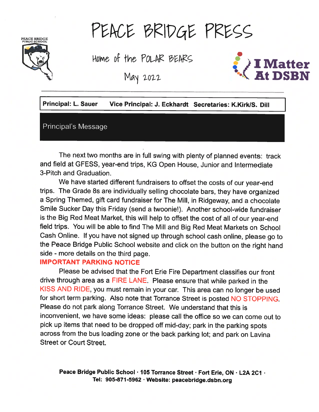# PEACE BRIDGE<br>PUBLIC SCHOOL

PEACE BRIDGE PRESS

Home of the POLAR BEARS

May 2022



| <b>Principal: L. Sauer</b> | Vice Principal: J. Eckhardt Secretaries: K.Kirk/S. Dill |  |
|----------------------------|---------------------------------------------------------|--|
| Principal's Message        |                                                         |  |

The next two months are in full swing with <sup>p</sup>lenty of <sup>p</sup>lanned events: track and field at GFESS, year-end trips, KG Open House, Junior and Intermediate 3-Pitch and Graduation.

We have started different fundraisers to offset the costs of our year-end trips. The Grade 8s are individually selling chocolate bars, they have organized <sup>a</sup> Spring Themed, <sup>g</sup>ift card fundraiser for The Mill, in Ridgeway, and <sup>a</sup> chocolate Smile Sucker Day this Friday (send a twoonie!). Another school-wide fundraiser is the Big Red Meat Market, this will help to offset the cost of all of our year-end field trips. You will be able to find The Mill and Big Red Meat Markets on School Cash Online. If you have not signed up through school cash online, <sup>p</sup>lease go to the Peace Bridge Public School website and click on the button on the right hand side - more details on the third page.

### IMPORTANT PARKING NOTICE

Please be advised that the Fort Erie Fire Department classifies our front drive through area as <sup>a</sup> FIRE LANE. Please ensure that while parked in the KISS AND RIDE, you must remain in your car. This area can no longer be used for short term parking. Also note that Torrance Street is posted NO STOPPING. Please do not park along Torrance Street. We understand that this is inconvenient, we have some ideas: <sup>p</sup>lease call the office so we can come out to <sup>p</sup>ick up items that need to be dropped off mid-day; par<sup>k</sup> in the parking spots across from the bus loading zone or the back parking lot; and par<sup>k</sup> on Lavina Street or Court Street.

Peace Bridge Public School · 105 Torrance Street · Fort Erie, ON · L2A 2C1 · Tel: 905-871-5962 . Website: peacebridge.dsbn.org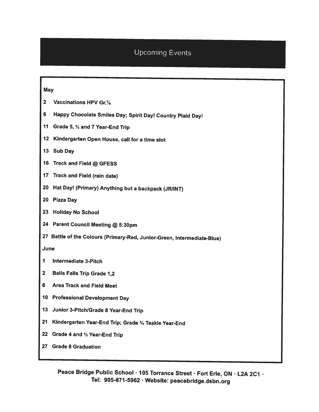# Upcoming Events

#### **May**

- 2 Vaccinations HPV Gr.7/8
- <sup>6</sup> Happy Chocolate Smiles Day; Spirit Day! Country Plaid Day!
- <sup>11</sup> Grade 5, <sup>¾</sup> and <sup>7</sup> Year-End Trip
- 12 Kindergarten Open House, call for <sup>a</sup> time slot
- 13 Sub Day
- <sup>16</sup> Track and Field @ GFESS
- <sup>17</sup> Track and Field (rain date)
- 20 Hat Day! (Primary) Anything but a backpack (JR/INT)
- 20 Pizza Day
- 23 Holiday No School
- <sup>24</sup> Parent Council Meeting @ 5:30pm
- <sup>27</sup> Battle of the Colours (Primary-Red, Junior-Green, Intermediate-Blue)

June

- I Intermediate 3-Pitch
- 2 Balls Falls Trip Grade 1,2
- 6 Area Track and Field Meet
- <sup>10</sup> Professional Development Day
- <sup>13</sup> Junior 3-Pitch/Grade <sup>8</sup> Year-End Trip
- <sup>21</sup> Kindergarten Year-End Trip; Grade 3/4 Teakle Year-End
- <sup>22</sup> Grade <sup>4</sup> and % Year-End Trip
- 27 Grade 8 Graduation

Peace Bridge Public School · 105 Torrance Street · Fort Erie, ON · L2A 2C1 · Tel: 905-871-5962 Website: peacebridge.dsbn.org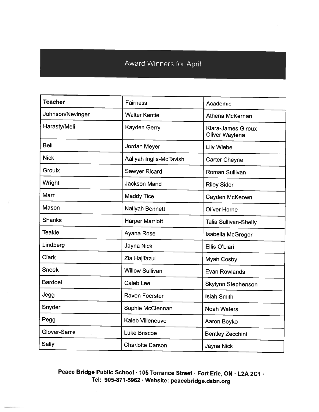# Award Winners for April

| <b>Teacher</b>   | <b>Fairness</b>         | Academic                                    |
|------------------|-------------------------|---------------------------------------------|
| Johnson/Nevinger | <b>Walter Kentie</b>    | Athena McKernan                             |
| Harasty/Meli     | Kayden Gerry            | <b>Klara-James Giroux</b><br>Oliver Waytena |
| <b>Bell</b>      | Jordan Meyer            | <b>Lily Wiebe</b>                           |
| <b>Nick</b>      | Aaliyah Inglis-McTavish | <b>Carter Cheyne</b>                        |
| <b>Groulx</b>    | <b>Sawyer Ricard</b>    | Roman Sullivan                              |
| Wright           | <b>Jackson Mand</b>     | <b>Riley Sider</b>                          |
| Marr             | <b>Maddy Tice</b>       | Cayden McKeown                              |
| Mason            | Naliyah Bennett         | <b>Oliver Horne</b>                         |
| <b>Shanks</b>    | <b>Harper Marriott</b>  | <b>Talia Sullivan-Shelly</b>                |
| <b>Teakle</b>    | Ayana Rose              | Isabella McGregor                           |
| Lindberg         | Jayna Nick              | Ellis O'Liari                               |
| <b>Clark</b>     | Zia Hajifazul           | Myah Cosby                                  |
| <b>Sneek</b>     | <b>Willow Sullivan</b>  | <b>Evan Rowlands</b>                        |
| <b>Bardoel</b>   | <b>Caleb Lee</b>        | Skylynn Stephenson                          |
| Jegg             | <b>Raven Foerster</b>   | <b>Isiah Smith</b>                          |
| Snyder           | Sophie McClennan        | <b>Noah Waters</b>                          |
| Pegg             | Kaleb Villeneuve        | Aaron Boyko                                 |
| Glover-Sams      | <b>Luke Briscoe</b>     | <b>Bentley Zecchini</b>                     |
| <b>Sally</b>     | <b>Charlotte Carson</b> | Jayna Nick                                  |

Peace Bridge Public School · 105 Torrance Street · Fort Erie, ON · L2A 2C1 · Tel: 905-871-5962 Website: peacebridge.dsbn.org